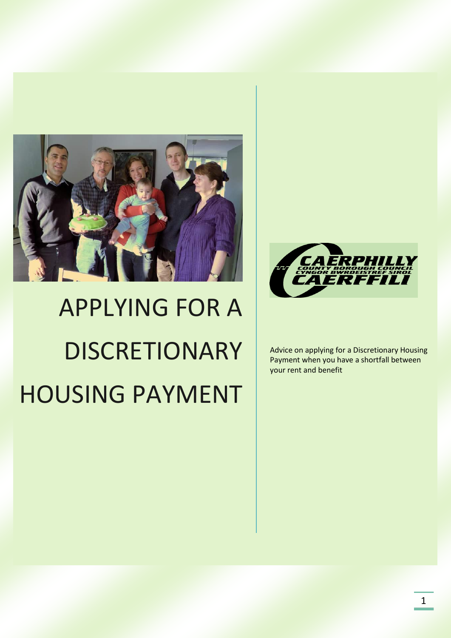



# APPLYING FOR A **DISCRETIONARY** HOUSING PAYMENT

Advice on applying for a Discretionary Housing Payment when you have a shortfall between your rent and benefit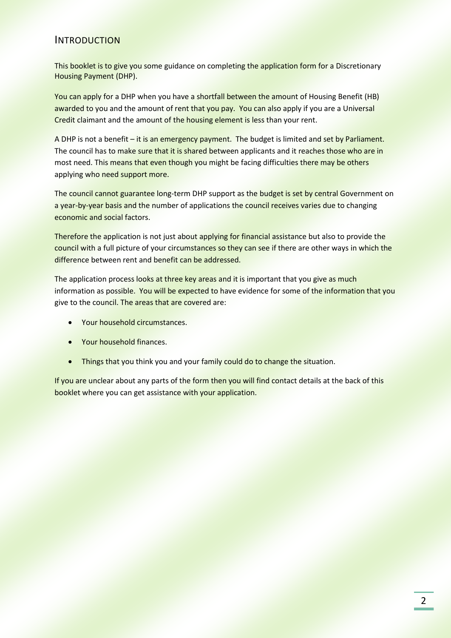#### INTRODUCTION

This booklet is to give you some guidance on completing the application form for a Discretionary Housing Payment (DHP).

You can apply for a DHP when you have a shortfall between the amount of Housing Benefit (HB) awarded to you and the amount of rent that you pay. You can also apply if you are a Universal Credit claimant and the amount of the housing element is less than your rent.

A DHP is not a benefit – it is an emergency payment. The budget is limited and set by Parliament. The council has to make sure that it is shared between applicants and it reaches those who are in most need. This means that even though you might be facing difficulties there may be others applying who need support more.

The council cannot guarantee long-term DHP support as the budget is set by central Government on a year-by-year basis and the number of applications the council receives varies due to changing economic and social factors.

Therefore the application is not just about applying for financial assistance but also to provide the council with a full picture of your circumstances so they can see if there are other ways in which the difference between rent and benefit can be addressed.

The application process looks at three key areas and it is important that you give as much information as possible. You will be expected to have evidence for some of the information that you give to the council. The areas that are covered are:

- Your household circumstances.
- Your household finances.
- Things that you think you and your family could do to change the situation.

If you are unclear about any parts of the form then you will find contact details at the back of this booklet where you can get assistance with your application.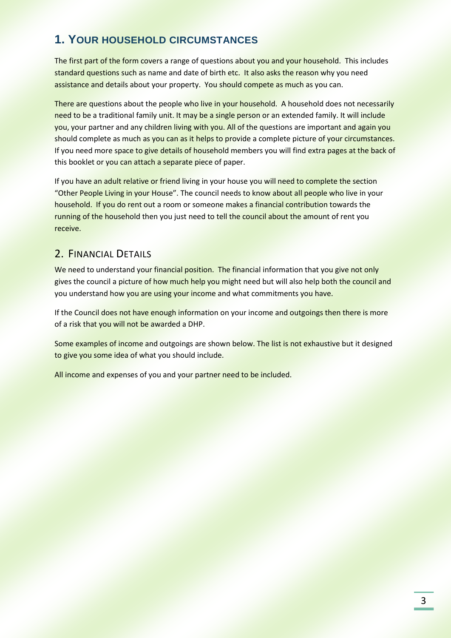## **1. YOUR HOUSEHOLD CIRCUMSTANCES**

The first part of the form covers a range of questions about you and your household. This includes standard questions such as name and date of birth etc. It also asks the reason why you need assistance and details about your property. You should compete as much as you can.

There are questions about the people who live in your household. A household does not necessarily need to be a traditional family unit. It may be a single person or an extended family. It will include you, your partner and any children living with you. All of the questions are important and again you should complete as much as you can as it helps to provide a complete picture of your circumstances. If you need more space to give details of household members you will find extra pages at the back of this booklet or you can attach a separate piece of paper.

If you have an adult relative or friend living in your house you will need to complete the section "Other People Living in your House". The council needs to know about all people who live in your household. If you do rent out a room or someone makes a financial contribution towards the running of the household then you just need to tell the council about the amount of rent you receive.

### 2. FINANCIAL DETAILS

We need to understand your financial position. The financial information that you give not only gives the council a picture of how much help you might need but will also help both the council and you understand how you are using your income and what commitments you have.

If the Council does not have enough information on your income and outgoings then there is more of a risk that you will not be awarded a DHP.

Some examples of income and outgoings are shown below. The list is not exhaustive but it designed to give you some idea of what you should include.

All income and expenses of you and your partner need to be included.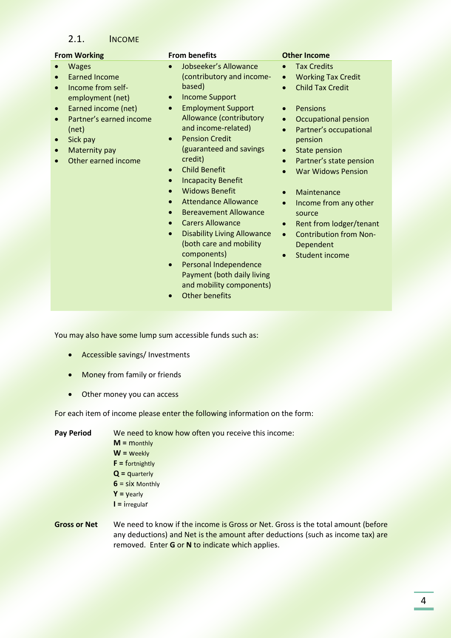#### 2.1. INCOME

Wages

(net) • Sick pay • Maternity pay

 Earned Income • Income from selfemployment (net) Earned income (net) Partner's earned income

Other earned income

#### **From Working From benefits Communication Other Income**

- Jobseeker's Allowance (contributory and incomebased)
- Income Support
- Employment Support Allowance (contributory and income-related)
- Pension Credit (guaranteed and savings credit)
- Child Benefit
- Incapacity Benefit
- Widows Benefit
- Attendance Allowance
- Bereavement Allowance
- Carers Allowance
- Disability Living Allowance (both care and mobility components)
- Personal Independence Payment (both daily living and mobility components)
- Other benefits

- Tax Credits
- Working Tax Credit
- Child Tax Credit
- Pensions
- Occupational pension
- Partner's occupational pension
- State pension
- Partner's state pension
- War Widows Pension
- Maintenance
- Income from any other source
- Rent from lodger/tenant
- Contribution from Non-Dependent
- Student income

You may also have some lump sum accessible funds such as:

- Accessible savings/ Investments
- Money from family or friends
- Other money you can access

For each item of income please enter the following information on the form:

**Pay Period** We need to know how often you receive this income: **M =** monthly **W =** weekly

- **F =** fortnightly
- **Q =** quarterly
- **6** = six Monthly **Y =** yearly
- 
- **I =** irregular
- **Gross or Net** We need to know if the income is Gross or Net. Gross is the total amount (before any deductions) and Net is the amount after deductions (such as income tax) are removed. Enter **G** or **N** to indicate which applies.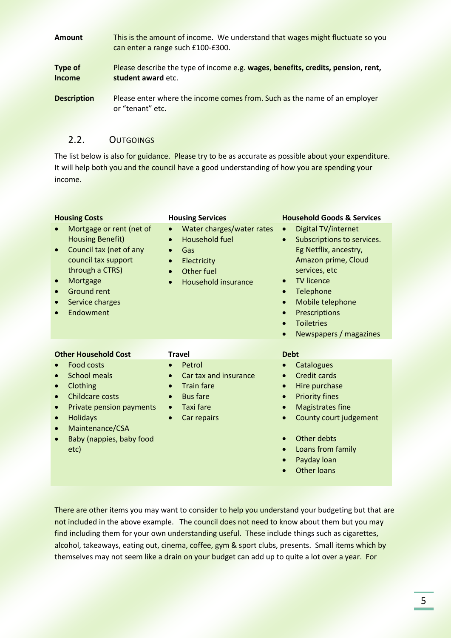| <b>Amount</b>                   | This is the amount of income. We understand that wages might fluctuate so you<br>can enter a range such £100-£300. |
|---------------------------------|--------------------------------------------------------------------------------------------------------------------|
| <b>Type of</b><br><b>Income</b> | Please describe the type of income e.g. wages, benefits, credits, pension, rent,<br>student award etc.             |
| <b>Description</b>              | Please enter where the income comes from. Such as the name of an employer<br>or "tenant" etc.                      |

### 2.2. OUTGOINGS

The list below is also for guidance. Please try to be as accurate as possible about your expenditure. It will help both you and the council have a good understanding of how you are spending your income.

| <b>Housing Costs</b>                                                                                                                                                                                                        | <b>Housing Services</b>                                                                                                                                                                     | <b>Household Goods &amp; Services</b>                                                                                                                                                                                                                                                                                                            |
|-----------------------------------------------------------------------------------------------------------------------------------------------------------------------------------------------------------------------------|---------------------------------------------------------------------------------------------------------------------------------------------------------------------------------------------|--------------------------------------------------------------------------------------------------------------------------------------------------------------------------------------------------------------------------------------------------------------------------------------------------------------------------------------------------|
| Mortgage or rent (net of<br><b>Housing Benefit)</b><br>Council tax (net of any<br>$\bullet$<br>council tax support<br>through a CTRS)<br>Mortgage<br>$\bullet$<br><b>Ground rent</b><br>Service charges<br>Endowment        | Water charges/water rates<br>$\bullet$<br>Household fuel<br>$\bullet$<br>Gas<br>$\bullet$<br>Electricity<br>$\bullet$<br>Other fuel<br>$\bullet$<br><b>Household insurance</b><br>$\bullet$ | Digital TV/internet<br>$\bullet$<br>Subscriptions to services.<br>$\bullet$<br>Eg Netflix, ancestry,<br>Amazon prime, Cloud<br>services, etc<br><b>TV licence</b><br>$\bullet$<br>Telephone<br>$\bullet$<br>Mobile telephone<br>$\bullet$<br>Prescriptions<br>$\bullet$<br><b>Toiletries</b><br>$\bullet$<br>Newspapers / magazines<br>$\bullet$ |
| <b>Other Household Cost</b>                                                                                                                                                                                                 | <b>Travel</b>                                                                                                                                                                               | <b>Debt</b>                                                                                                                                                                                                                                                                                                                                      |
| <b>Food costs</b><br><b>School meals</b><br>Clothing<br>$\bullet$<br><b>Childcare costs</b><br>$\bullet$<br>Private pension payments<br><b>Holidays</b><br>$\bullet$<br>Maintenance/CSA<br>Baby (nappies, baby food<br>etc) | Petrol<br>$\bullet$<br>Car tax and insurance<br>$\bullet$<br><b>Train fare</b><br>$\bullet$<br><b>Bus fare</b><br>$\bullet$<br><b>Taxi fare</b><br>$\bullet$<br>Car repairs<br>$\bullet$    | Catalogues<br>Credit cards<br>$\bullet$<br>Hire purchase<br>$\bullet$<br><b>Priority fines</b><br>$\bullet$<br><b>Magistrates fine</b><br>County court judgement<br>Other debts<br>Loans from family<br>Davday Joan                                                                                                                              |

- Payday loan
- **•** Other loans

There are other items you may want to consider to help you understand your budgeting but that are not included in the above example. The council does not need to know about them but you may find including them for your own understanding useful. These include things such as cigarettes, alcohol, takeaways, eating out, cinema, coffee, gym & sport clubs, presents. Small items which by themselves may not seem like a drain on your budget can add up to quite a lot over a year. For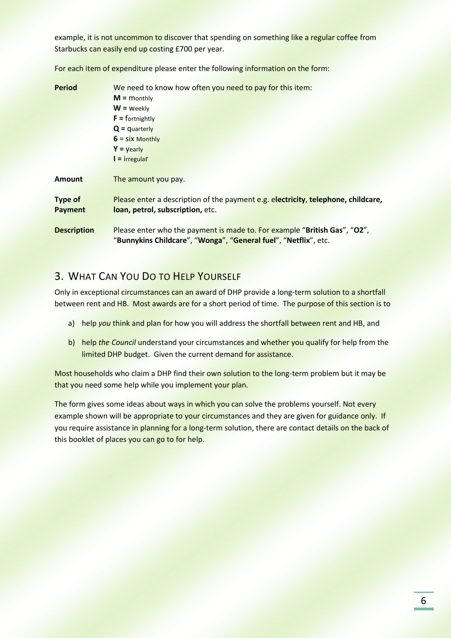example, it is not uncommon to discover that spending on something like a regular coffee from Starbucks can easily end up costing £700 per year.

**Period** We need to know how often you need to pay for this item: **M =** monthly **W =** weekly **F =** fortnightly **Q =** quarterly **6** = six Monthly **Y =** yearly **I =** irregular **Amount** The amount you pay. **Type of Payment** Please enter a description of the payment e.g. e**lectricity**, **telephone, childcare, loan, petrol, subscription,** etc. **Description** Please enter who the payment is made to. For example "**British Gas**", "**O2**", "**Bunnykins Childcare**", "**Wonga**", "**General fuel**", "**Netflix**", etc.

For each item of expenditure please enter the following information on the form:

### 3. WHAT CAN YOU DO TO HELP YOURSELF

Only in exceptional circumstances can an award of DHP provide a long-term solution to a shortfall between rent and HB. Most awards are for a short period of time. The purpose of this section is to

- a) help *you* think and plan for how you will address the shortfall between rent and HB, and
- b) help *the Council* understand your circumstances and whether you qualify for help from the limited DHP budget. Given the current demand for assistance.

Most households who claim a DHP find their own solution to the long-term problem but it may be that you need some help while you implement your plan.

The form gives some ideas about ways in which you can solve the problems yourself. Not every example shown will be appropriate to your circumstances and they are given for guidance only. If you require assistance in planning for a long-term solution, there are contact details on the back of this booklet of places you can go to for help.